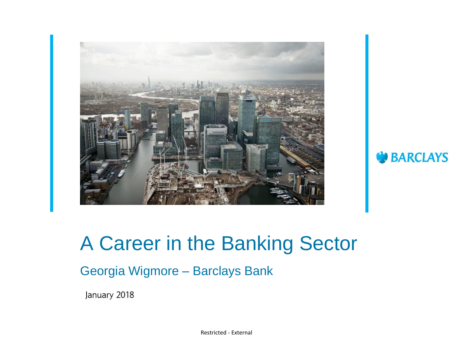

### A Career in the Banking Sector

**BARCLAYS** 

### Georgia Wigmore – Barclays Bank

January 2018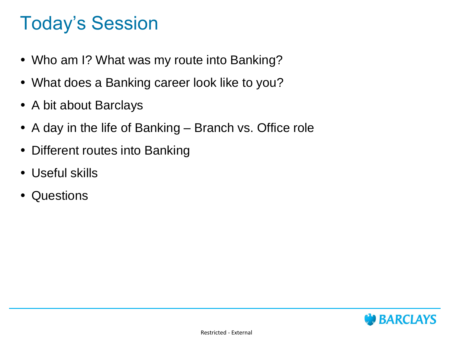## Today's Session

- Who am I? What was my route into Banking?
- What does a Banking career look like to you?
- A bit about Barclays
- A day in the life of Banking Branch vs. Office role
- Different routes into Banking
- Useful skills
- Questions

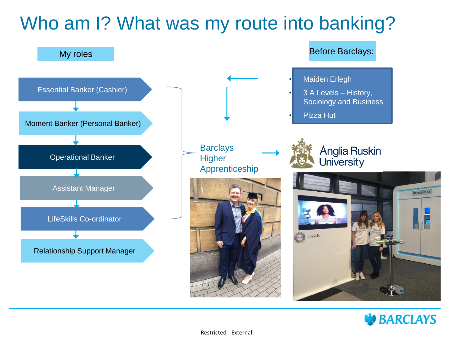## Who am I? What was my route into banking?



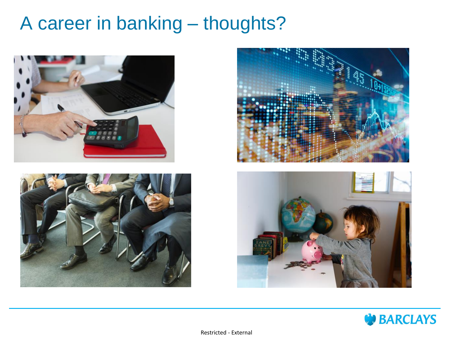### A career in banking – thoughts?









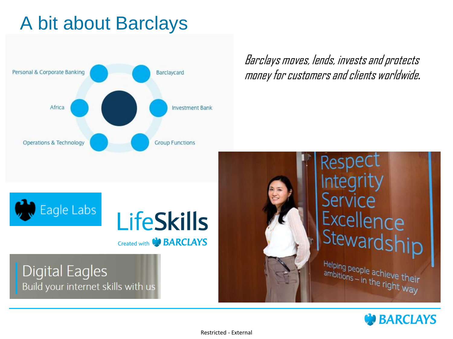## A bit about Barclays



Barclays moves, lends, invests and protects money for customers and clients worldwide*.*





### **Digital Eagles** Build your internet skills with us



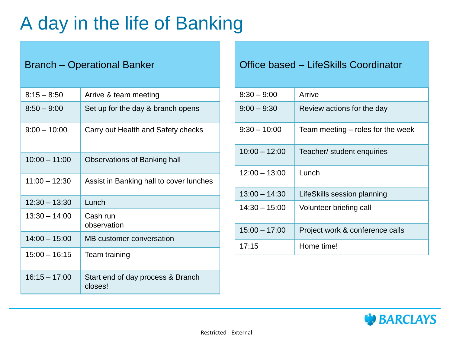## A day in the life of Banking

| $8:15 - 8:50$   | Arrive & team meeting                        |
|-----------------|----------------------------------------------|
| $8:50 - 9:00$   | Set up for the day & branch opens            |
| $9:00 - 10:00$  | Carry out Health and Safety checks           |
| $10:00 - 11:00$ | Observations of Banking hall                 |
| $11:00 - 12:30$ | Assist in Banking hall to cover lunches      |
| $12:30 - 13:30$ | Lunch                                        |
| $13:30 - 14:00$ | Cash run<br>observation                      |
| $14:00 - 15:00$ | MB customer conversation                     |
| $15:00 - 16:15$ | Team training                                |
| $16:15 - 17:00$ | Start end of day process & Branch<br>closes! |

### Branch – Operational Banker **Office based – LifeSkills Coordinator**

| $8:30 - 9:00$   | Arrive                            |
|-----------------|-----------------------------------|
| $9:00 - 9:30$   | Review actions for the day        |
| $9:30 - 10:00$  | Team meeting – roles for the week |
| $10:00 - 12:00$ | Teacher/ student enquiries        |
| $12:00 - 13:00$ | Lunch                             |
| $13:00 - 14:30$ | LifeSkills session planning       |
| $14:30 - 15:00$ | Volunteer briefing call           |
| $15:00 - 17:00$ | Project work & conference calls   |
| 17:15           | Home time!                        |

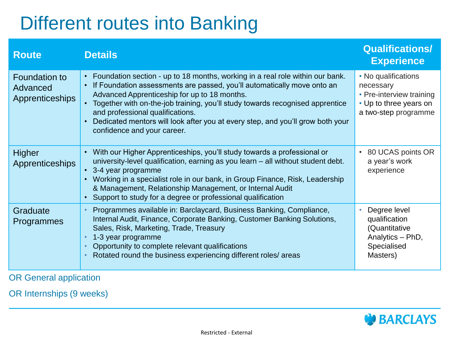## Different routes into Banking

| <b>Route</b>                                               | <b>Details</b>                                                                                                                                                                                                                                                                                                                                                                                                                                                | <b>Qualifications/</b><br><b>Experience</b>                                                                    |
|------------------------------------------------------------|---------------------------------------------------------------------------------------------------------------------------------------------------------------------------------------------------------------------------------------------------------------------------------------------------------------------------------------------------------------------------------------------------------------------------------------------------------------|----------------------------------------------------------------------------------------------------------------|
| <b>Foundation to</b><br>Advanced<br><b>Apprenticeships</b> | • Foundation section - up to 18 months, working in a real role within our bank.<br>If Foundation assessments are passed, you'll automatically move onto an<br>$\bullet$<br>Advanced Apprenticeship for up to 18 months.<br>Together with on-the-job training, you'll study towards recognised apprentice<br>and professional qualifications.<br>Dedicated mentors will look after you at every step, and you'll grow both your<br>confidence and your career. | • No qualifications<br>necessary<br>• Pre-interview training<br>• Up to three years on<br>a two-step programme |
| Higher<br><b>Apprenticeships</b>                           | • With our Higher Apprenticeships, you'll study towards a professional or<br>university-level qualification, earning as you learn - all without student debt.<br>• 3-4 year programme<br>Working in a specialist role in our bank, in Group Finance, Risk, Leadership<br>$\bullet$<br>& Management, Relationship Management, or Internal Audit<br>Support to study for a degree or professional qualification                                                 | • 80 UCAS points OR<br>a year's work<br>experience                                                             |
| Graduate<br><b>Programmes</b>                              | Programmes available in: Barclaycard, Business Banking, Compliance,<br>Internal Audit, Finance, Corporate Banking, Customer Banking Solutions,<br>Sales, Risk, Marketing, Trade, Treasury<br>1-3 year programme<br>Opportunity to complete relevant qualifications<br>Rotated round the business experiencing different roles/ areas                                                                                                                          | Degree level<br>qualification<br>(Quantitative<br>Analytics - PhD,<br>Specialised<br>Masters)                  |

OR General application

OR Internships (9 weeks)

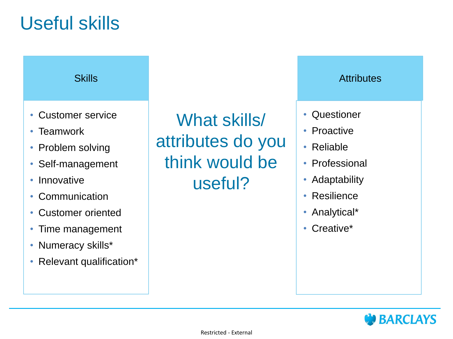### Useful skills

### **Skills**

- Customer service
- Teamwork
- Problem solving
- Self-management
- Innovative
- Communication
- Customer oriented
- Time management
- Numeracy skills\*
- Relevant qualification\*

What skills/ attributes do you think would be useful?

### **Attributes**

- Questioner
- Proactive
- Reliable
- Professional
- Adaptability
- Resilience
- Analytical\*
- Creative\*